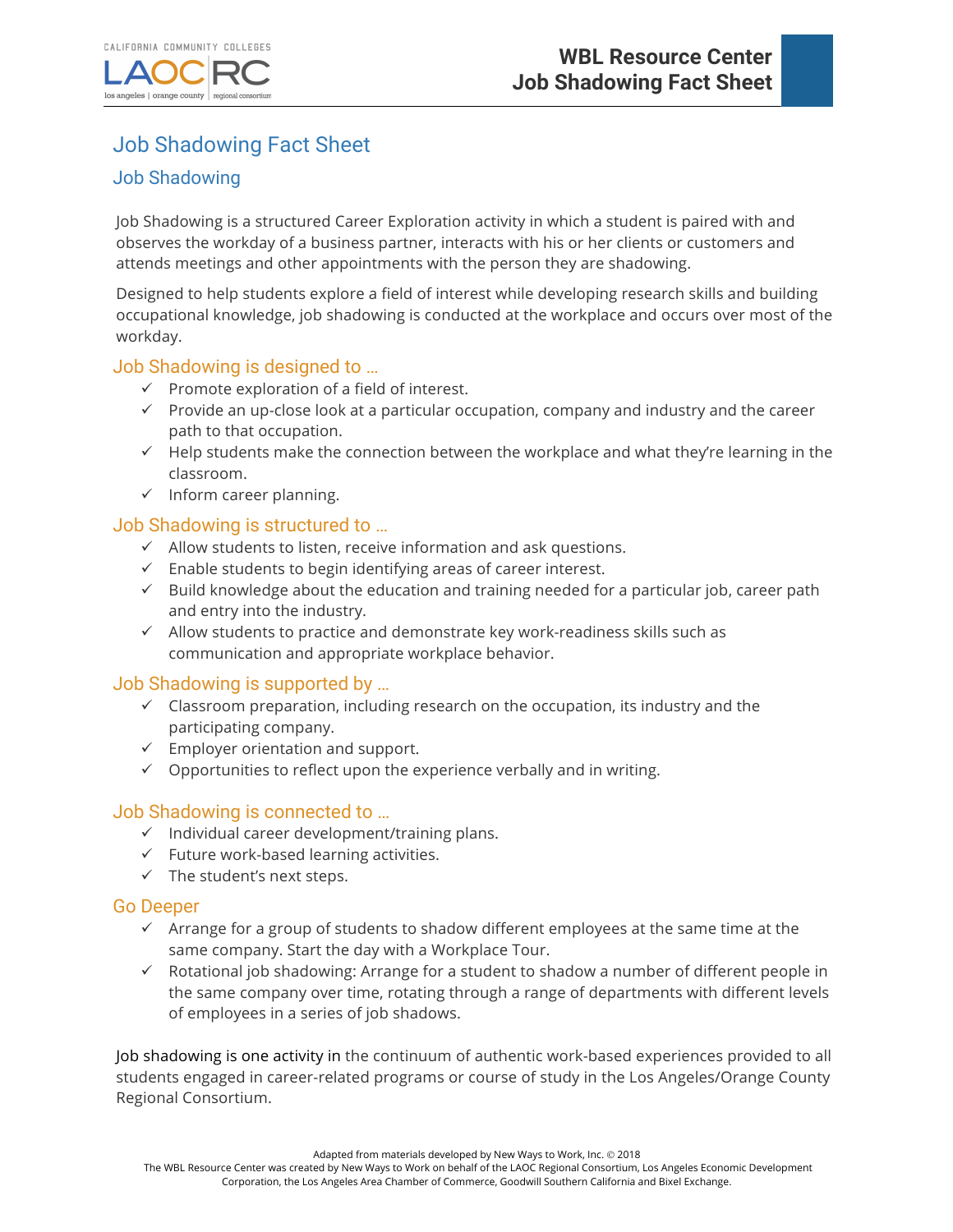

# Job Shadowing Fact Sheet

## Job Shadowing

Job Shadowing is a structured Career Exploration activity in which a student is paired with and observes the workday of a business partner, interacts with his or her clients or customers and attends meetings and other appointments with the person they are shadowing.

Designed to help students explore a field of interest while developing research skills and building occupational knowledge, job shadowing is conducted at the workplace and occurs over most of the workday.

#### Job Shadowing is designed to …

- $\checkmark$  Promote exploration of a field of interest.
- $\checkmark$  Provide an up-close look at a particular occupation, company and industry and the career path to that occupation.
- $\checkmark$  Help students make the connection between the workplace and what they're learning in the classroom.
- $\checkmark$  Inform career planning.

#### Job Shadowing is structured to …

- $\checkmark$  Allow students to listen, receive information and ask questions.
- $\checkmark$  Enable students to begin identifying areas of career interest.
- $\checkmark$  Build knowledge about the education and training needed for a particular job, career path and entry into the industry.
- $\checkmark$  Allow students to practice and demonstrate key work-readiness skills such as communication and appropriate workplace behavior.

#### Job Shadowing is supported by …

- $\checkmark$  Classroom preparation, including research on the occupation, its industry and the participating company.
- $\checkmark$  Employer orientation and support.
- $\checkmark$  Opportunities to reflect upon the experience verbally and in writing.

#### Job Shadowing is connected to …

- $\checkmark$  Individual career development/training plans.
- $\checkmark$  Future work-based learning activities.
- $\checkmark$  The student's next steps.

#### Go Deeper

- $\checkmark$  Arrange for a group of students to shadow different employees at the same time at the same company. Start the day with a Workplace Tour.
- $\checkmark$  Rotational job shadowing: Arrange for a student to shadow a number of different people in the same company over time, rotating through a range of departments with different levels of employees in a series of job shadows.

Job shadowing is one activity in the continuum of authentic work-based experiences provided to all students engaged in career-related programs or course of study in the Los Angeles/Orange County Regional Consortium.

Adapted from materials developed by New Ways to Work, Inc. @ 2018